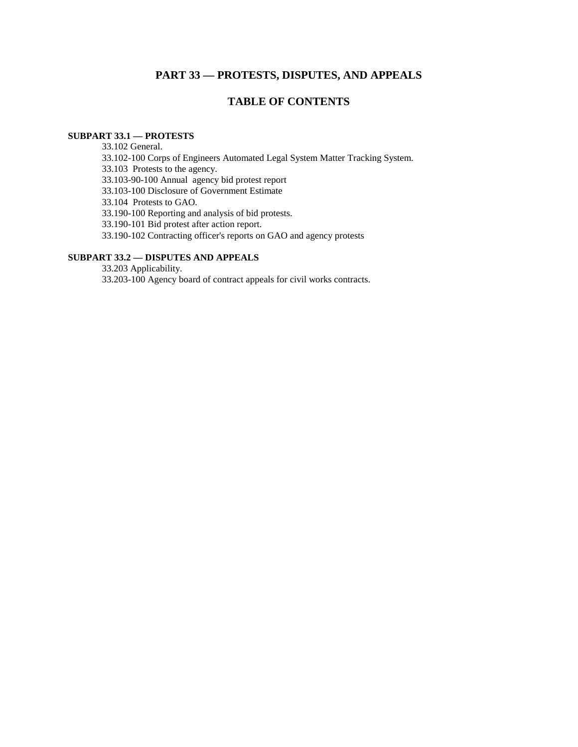# **PART 33 — PROTESTS, DISPUTES, AND APPEALS**

# **TABLE OF CONTENTS**

## **SUBPART 33.1 — PROTESTS**

33.102 General.

33.102-100 Corps of Engineers Automated Legal System Matter Tracking System.

33.103 Protests to the agency.

33.103-90-100 Annual agency bid protest report

33.103-100 Disclosure of Government Estimate

33.104 Protests to GAO.

33.190-100 Reporting and analysis of bid protests.

33.190-101 Bid protest after action report.

33.190-102 Contracting officer's reports on GAO and agency protests

## **SUBPART 33.2 — DISPUTES AND APPEALS**

33.203 Applicability. 33.203-100 Agency board of contract appeals for civil works contracts.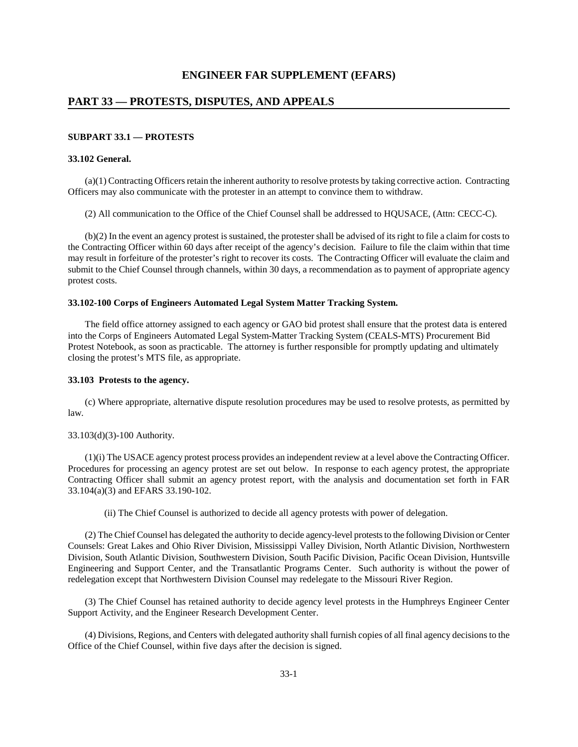### **PART 33 — PROTESTS, DISPUTES, AND APPEALS**

#### **SUBPART 33.1 — PROTESTS**

#### **33.102 General.**

 (a)(1) Contracting Officers retain the inherent authority to resolve protests by taking corrective action. Contracting Officers may also communicate with the protester in an attempt to convince them to withdraw.

(2) All communication to the Office of the Chief Counsel shall be addressed to HQUSACE, (Attn: CECC-C).

(b)(2) In the event an agency protest is sustained, the protester shall be advised of its right to file a claim for costs to the Contracting Officer within 60 days after receipt of the agency's decision. Failure to file the claim within that time may result in forfeiture of the protester's right to recover its costs. The Contracting Officer will evaluate the claim and submit to the Chief Counsel through channels, within 30 days, a recommendation as to payment of appropriate agency protest costs.

#### **33.102-100 Corps of Engineers Automated Legal System Matter Tracking System.**

The field office attorney assigned to each agency or GAO bid protest shall ensure that the protest data is entered into the Corps of Engineers Automated Legal System-Matter Tracking System (CEALS-MTS) Procurement Bid Protest Notebook, as soon as practicable. The attorney is further responsible for promptly updating and ultimately closing the protest's MTS file, as appropriate.

#### **33.103 Protests to the agency.**

 (c) Where appropriate, alternative dispute resolution procedures may be used to resolve protests, as permitted by law.

#### 33.103(d)(3)-100 Authority.

 (1)(i) The USACE agency protest process provides an independent review at a level above the Contracting Officer. Procedures for processing an agency protest are set out below. In response to each agency protest, the appropriate Contracting Officer shall submit an agency protest report, with the analysis and documentation set forth in FAR 33.104(a)(3) and EFARS 33.190-102.

(ii) The Chief Counsel is authorized to decide all agency protests with power of delegation.

 (2) The Chief Counsel has delegated the authority to decide agency-level protests to the following Division or Center Counsels: Great Lakes and Ohio River Division, Mississippi Valley Division, North Atlantic Division, Northwestern Division, South Atlantic Division, Southwestern Division, South Pacific Division, Pacific Ocean Division, Huntsville Engineering and Support Center, and the Transatlantic Programs Center. Such authority is without the power of redelegation except that Northwestern Division Counsel may redelegate to the Missouri River Region.

 (3) The Chief Counsel has retained authority to decide agency level protests in the Humphreys Engineer Center Support Activity, and the Engineer Research Development Center.

 (4) Divisions, Regions, and Centers with delegated authority shall furnish copies of all final agency decisions to the Office of the Chief Counsel, within five days after the decision is signed.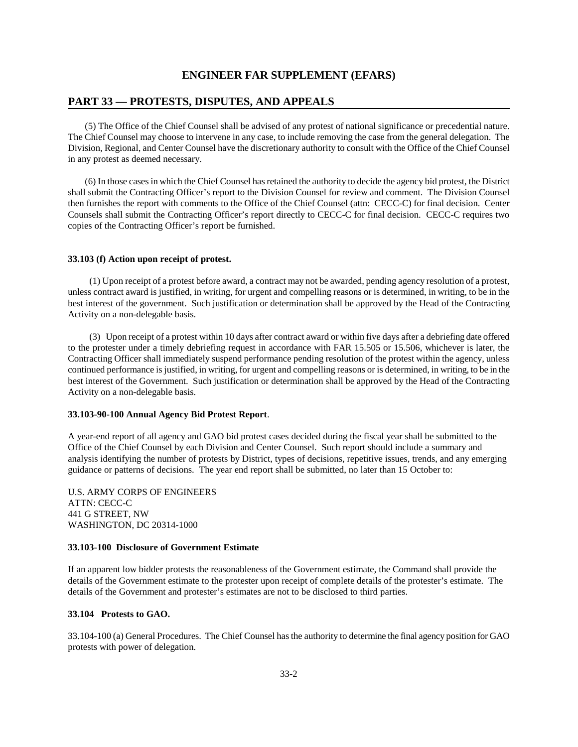## **PART 33 — PROTESTS, DISPUTES, AND APPEALS**

 (5) The Office of the Chief Counsel shall be advised of any protest of national significance or precedential nature. The Chief Counsel may choose to intervene in any case, to include removing the case from the general delegation. The Division, Regional, and Center Counsel have the discretionary authority to consult with the Office of the Chief Counsel in any protest as deemed necessary.

 (6) In those cases in which the Chief Counsel has retained the authority to decide the agency bid protest, the District shall submit the Contracting Officer's report to the Division Counsel for review and comment. The Division Counsel then furnishes the report with comments to the Office of the Chief Counsel (attn: CECC-C) for final decision. Center Counsels shall submit the Contracting Officer's report directly to CECC-C for final decision. CECC-C requires two copies of the Contracting Officer's report be furnished.

### **33.103 (f) Action upon receipt of protest.**

 (1) Upon receipt of a protest before award, a contract may not be awarded, pending agency resolution of a protest, unless contract award is justified, in writing, for urgent and compelling reasons or is determined, in writing, to be in the best interest of the government. Such justification or determination shall be approved by the Head of the Contracting Activity on a non-delegable basis.

 (3) Upon receipt of a protest within 10 days after contract award or within five days after a debriefing date offered to the protester under a timely debriefing request in accordance with FAR 15.505 or 15.506, whichever is later, the Contracting Officer shall immediately suspend performance pending resolution of the protest within the agency, unless continued performance is justified, in writing, for urgent and compelling reasons or is determined, in writing, to be in the best interest of the Government. Such justification or determination shall be approved by the Head of the Contracting Activity on a non-delegable basis.

### **33.103-90-100 Annual Agency Bid Protest Report**.

A year-end report of all agency and GAO bid protest cases decided during the fiscal year shall be submitted to the Office of the Chief Counsel by each Division and Center Counsel. Such report should include a summary and analysis identifying the number of protests by District, types of decisions, repetitive issues, trends, and any emerging guidance or patterns of decisions. The year end report shall be submitted, no later than 15 October to:

U.S. ARMY CORPS OF ENGINEERS ATTN: CECC-C 441 G STREET, NW WASHINGTON, DC 20314-1000

#### **33.103-100 Disclosure of Government Estimate**

If an apparent low bidder protests the reasonableness of the Government estimate, the Command shall provide the details of the Government estimate to the protester upon receipt of complete details of the protester's estimate. The details of the Government and protester's estimates are not to be disclosed to third parties.

#### **33.104 Protests to GAO.**

33.104-100 (a) General Procedures. The Chief Counsel has the authority to determine the final agency position for GAO protests with power of delegation.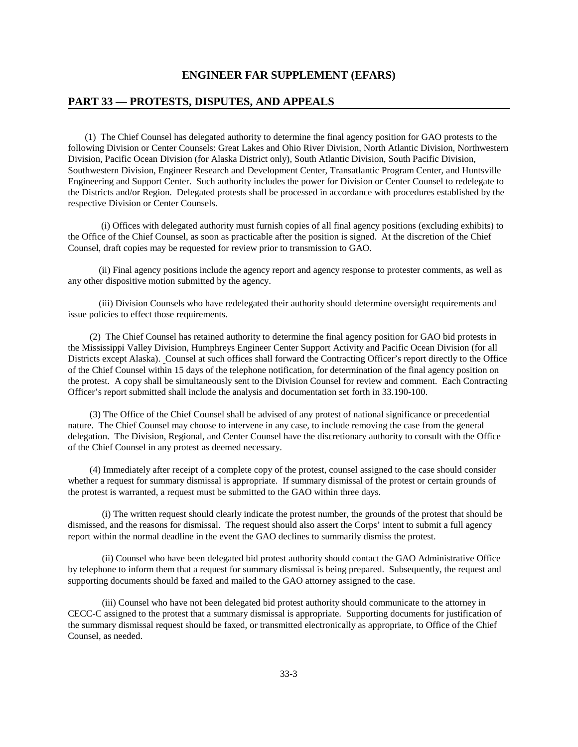### **PART 33 — PROTESTS, DISPUTES, AND APPEALS**

(1) The Chief Counsel has delegated authority to determine the final agency position for GAO protests to the following Division or Center Counsels: Great Lakes and Ohio River Division, North Atlantic Division, Northwestern Division, Pacific Ocean Division (for Alaska District only), South Atlantic Division, South Pacific Division, Southwestern Division, Engineer Research and Development Center, Transatlantic Program Center, and Huntsville Engineering and Support Center. Such authority includes the power for Division or Center Counsel to redelegate to the Districts and/or Region. Delegated protests shall be processed in accordance with procedures established by the respective Division or Center Counsels.

 (i) Offices with delegated authority must furnish copies of all final agency positions (excluding exhibits) to the Office of the Chief Counsel, as soon as practicable after the position is signed. At the discretion of the Chief Counsel, draft copies may be requested for review prior to transmission to GAO.

 (ii) Final agency positions include the agency report and agency response to protester comments, as well as any other dispositive motion submitted by the agency.

 (iii) Division Counsels who have redelegated their authority should determine oversight requirements and issue policies to effect those requirements.

 (2) The Chief Counsel has retained authority to determine the final agency position for GAO bid protests in the Mississippi Valley Division, Humphreys Engineer Center Support Activity and Pacific Ocean Division (for all Districts except Alaska). Counsel at such offices shall forward the Contracting Officer's report directly to the Office of the Chief Counsel within 15 days of the telephone notification, for determination of the final agency position on the protest. A copy shall be simultaneously sent to the Division Counsel for review and comment. Each Contracting Officer's report submitted shall include the analysis and documentation set forth in 33.190-100.

(3) The Office of the Chief Counsel shall be advised of any protest of national significance or precedential nature. The Chief Counsel may choose to intervene in any case, to include removing the case from the general delegation. The Division, Regional, and Center Counsel have the discretionary authority to consult with the Office of the Chief Counsel in any protest as deemed necessary.

 (4) Immediately after receipt of a complete copy of the protest, counsel assigned to the case should consider whether a request for summary dismissal is appropriate. If summary dismissal of the protest or certain grounds of the protest is warranted, a request must be submitted to the GAO within three days.

(i) The written request should clearly indicate the protest number, the grounds of the protest that should be dismissed, and the reasons for dismissal. The request should also assert the Corps' intent to submit a full agency report within the normal deadline in the event the GAO declines to summarily dismiss the protest.

(ii) Counsel who have been delegated bid protest authority should contact the GAO Administrative Office by telephone to inform them that a request for summary dismissal is being prepared. Subsequently, the request and supporting documents should be faxed and mailed to the GAO attorney assigned to the case.

(iii) Counsel who have not been delegated bid protest authority should communicate to the attorney in CECC-C assigned to the protest that a summary dismissal is appropriate. Supporting documents for justification of the summary dismissal request should be faxed, or transmitted electronically as appropriate, to Office of the Chief Counsel, as needed.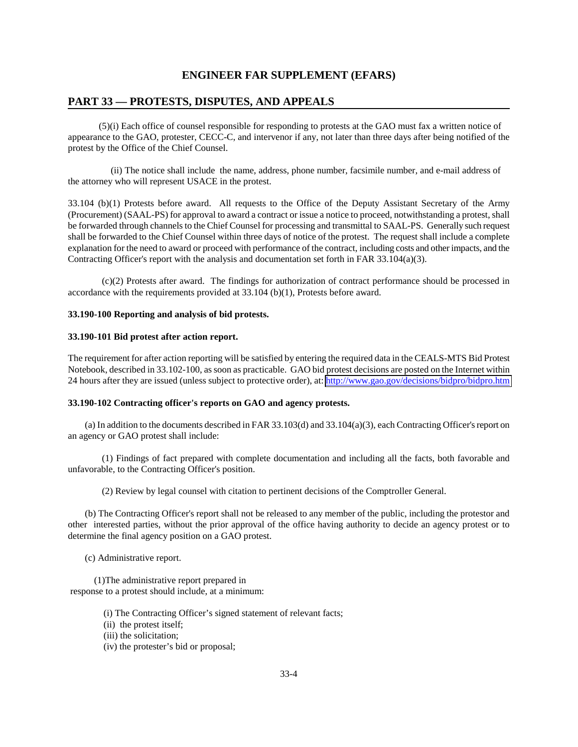### **PART 33 — PROTESTS, DISPUTES, AND APPEALS**

 (5)(i) Each office of counsel responsible for responding to protests at the GAO must fax a written notice of appearance to the GAO, protester, CECC-C, and intervenor if any, not later than three days after being notified of the protest by the Office of the Chief Counsel.

 (ii) The notice shall include the name, address, phone number, facsimile number, and e-mail address of the attorney who will represent USACE in the protest.

33.104 (b)(1) Protests before award. All requests to the Office of the Deputy Assistant Secretary of the Army (Procurement) (SAAL-PS) for approval to award a contract or issue a notice to proceed, notwithstanding a protest, shall be forwarded through channels to the Chief Counsel for processing and transmittal to SAAL-PS. Generally such request shall be forwarded to the Chief Counsel within three days of notice of the protest. The request shall include a complete explanation for the need to award or proceed with performance of the contract, including costs and other impacts, and the Contracting Officer's report with the analysis and documentation set forth in FAR 33.104(a)(3).

(c)(2) Protests after award. The findings for authorization of contract performance should be processed in accordance with the requirements provided at 33.104 (b)(1), Protests before award.

#### **33.190-100 Reporting and analysis of bid protests.**

### **33.190-101 Bid protest after action report.**

The requirement for after action reporting will be satisfied by entering the required data in the CEALS-MTS Bid Protest Notebook, described in 33.102-100, as soon as practicable. GAO bid protest decisions are posted on the Internet within 24 hours after they are issued (unless subject to protective order), at:<http://www.gao.gov/decisions/bidpro/bidpro.htm>

#### **33.190-102 Contracting officer's reports on GAO and agency protests.**

(a) In addition to the documents described in FAR 33.103(d) and 33.104(a)(3), each Contracting Officer's report on an agency or GAO protest shall include:

(1) Findings of fact prepared with complete documentation and including all the facts, both favorable and unfavorable, to the Contracting Officer's position.

(2) Review by legal counsel with citation to pertinent decisions of the Comptroller General.

(b) The Contracting Officer's report shall not be released to any member of the public, including the protestor and other interested parties, without the prior approval of the office having authority to decide an agency protest or to determine the final agency position on a GAO protest.

(c) Administrative report.

 (1)The administrative report prepared in response to a protest should include, at a minimum:

- (i) The Contracting Officer's signed statement of relevant facts;
- (ii) the protest itself;
- (iii) the solicitation;
- (iv) the protester's bid or proposal;